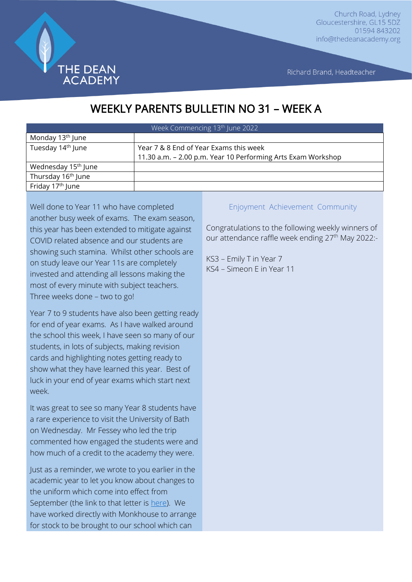

Richard Brand, Headteacher

# WEEKLY PARENTS BULLETIN NO 31 – WEEK A

| Week Commencing 13 <sup>th</sup> June 2022 |                                                              |
|--------------------------------------------|--------------------------------------------------------------|
| Monday 13 <sup>th</sup> June               |                                                              |
| Tuesday 14 <sup>th</sup> June              | Year 7 & 8 End of Year Exams this week                       |
|                                            | 11.30 a.m. - 2.00 p.m. Year 10 Performing Arts Exam Workshop |
| Wednesday 15 <sup>th</sup> June            |                                                              |
| Thursday 16 <sup>th</sup> June             |                                                              |
| Friday 17 <sup>th</sup> June               |                                                              |

Well done to Year 11 who have completed another busy week of exams. The exam season, this year has been extended to mitigate against COVID related absence and our students are showing such stamina. Whilst other schools are on study leave our Year 11s are completely invested and attending all lessons making the most of every minute with subject teachers. Three weeks done – two to go!

Year 7 to 9 students have also been getting ready for end of year exams. As I have walked around the school this week, I have seen so many of our students, in lots of subjects, making revision cards and highlighting notes getting ready to show what they have learned this year. Best of luck in your end of year exams which start next week.

It was great to see so many Year 8 students have a rare experience to visit the University of Bath on Wednesday. Mr Fessey who led the trip commented how engaged the students were and how much of a credit to the academy they were.

Just as a reminder, we wrote to you earlier in the academic year to let you know about changes to the uniform which come into effect from September (the link to that letter is [here\)](https://thedeanacademy.org/wp-content/uploads/2022/03/Amendments-School-Uniform.pdf). We have worked directly with Monkhouse to arrange for stock to be brought to our school which can

#### Enjoyment Achievement Community

Congratulations to the following weekly winners of our attendance raffle week ending 27<sup>th</sup> May 2022:-

KS3 – Emily T in Year 7 KS4 – Simeon E in Year 11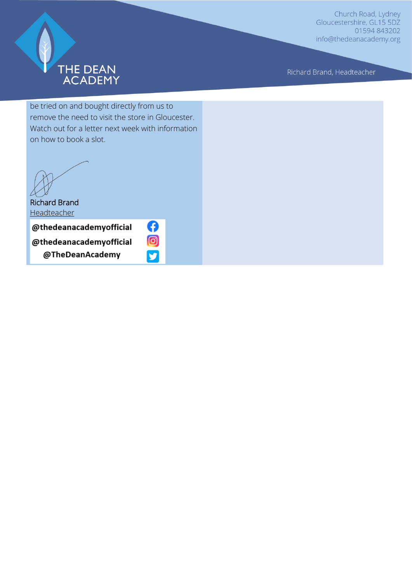

Richard Brand, Headteacher

be tried on and bought directly from us to remove the need to visit the store in Gloucester. Watch out for a letter next week with information on how to book a slot.

**Richard Brand** Headteacher

@thedeanacademyofficial

@thedeanacademyofficial @TheDeanAcademy

 $\overline{\mathbf{y}}$ 

A  $\overline{\textbf{O}}$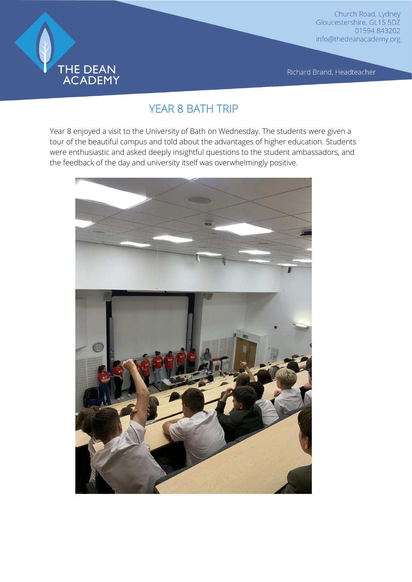

Richard Brand, Headteacher

#### YEAR 8 BATH TRIP

Year 8 enjoyed a visit to the University of Bath on Wednesday. The students were given a tour of the beautiful campus and told about the advantages of higher education. Students were enthusiastic and asked deeply insightful questions to the student ambassadors, and the feedback of the day and university itself was overwhelmingly positive.

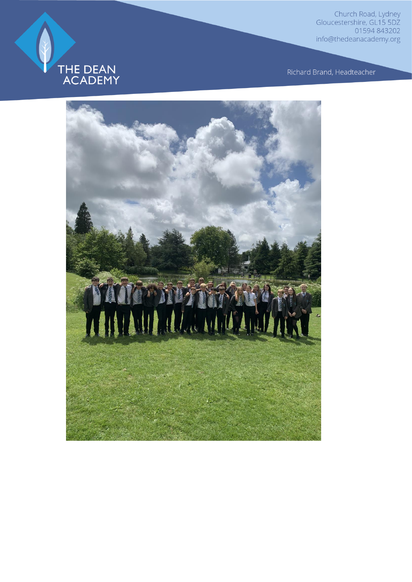

Richard Brand, Headteacher

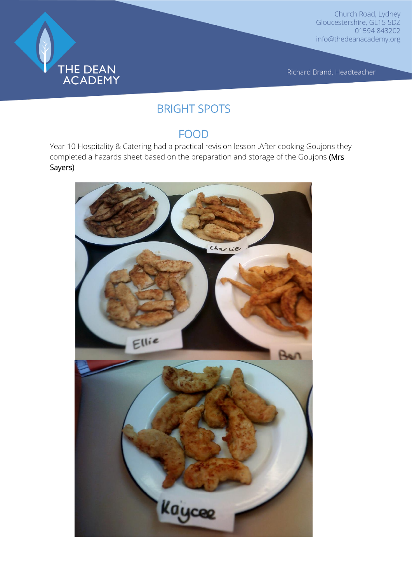

Richard Brand, Headteacher

## BRIGHT SPOTS

## FOOD

Year 10 Hospitality & Catering had a practical revision lesson .After cooking Goujons they completed a hazards sheet based on the preparation and storage of the Goujons (Mrs Sayers)

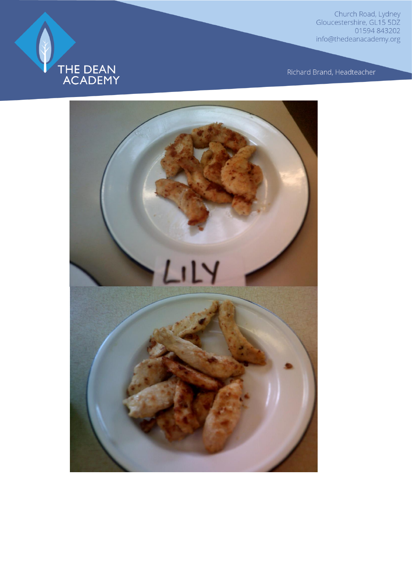

Richard Brand, Headteacher